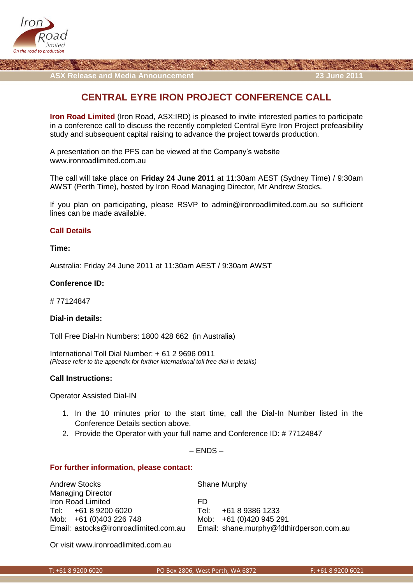

**ASX Release and Media Announcement 23 June 2011**

# **CENTRAL EYRE IRON PROJECT CONFERENCE CALL**

**Iron Road Limited** (Iron Road, ASX:IRD) is pleased to invite interested parties to participate in a conference call to discuss the recently completed Central Eyre Iron Project prefeasibility study and subsequent capital raising to advance the project towards production.

A presentation on the PFS can be viewed at the Company's website www.ironroadlimited.com.au

The call will take place on **Friday 24 June 2011** at 11:30am AEST (Sydney Time) / 9:30am AWST (Perth Time), hosted by Iron Road Managing Director, Mr Andrew Stocks.

If you plan on participating, please RSVP to [admin@ironroadlimited.com.au](mailto:admin@ironroadlimited.com.au) so sufficient lines can be made available.

# **Call Details**

#### **Time:**

Australia: Friday 24 June 2011 at 11:30am AEST / 9:30am AWST

#### **Conference ID:**

# 77124847

## **Dial-in details:**

Toll Free Dial-In Numbers: 1800 428 662 (in Australia)

International Toll Dial Number: + 61 2 9696 0911 *(Please refer to the appendix for further international toll free dial in details)*

## **Call Instructions:**

Operator Assisted Dial-IN

- 1. In the 10 minutes prior to the start time, call the Dial-In Number listed in the Conference Details section above.
- 2. Provide the Operator with your full name and Conference ID: # 77124847

#### – ENDS –

## **For further information, please contact:**

| <b>Andrew Stocks</b>                  | Shane Murphy                             |
|---------------------------------------|------------------------------------------|
| <b>Managing Director</b>              |                                          |
| Iron Road Limited                     | FD.                                      |
| Tel: +61 8 9200 6020                  | +61 8 9386 1233<br>Tel <sup>.</sup>      |
| Mob: +61 (0)403 226 748               | Mob: +61 (0)420 945 291                  |
| Email: astocks@ironroadlimited.com.au | Email: shane.murphy@fdthirdperson.com.au |

Or visit [www.ironroadlimited.com.au](http://www.ironroadlimited.com.au/)